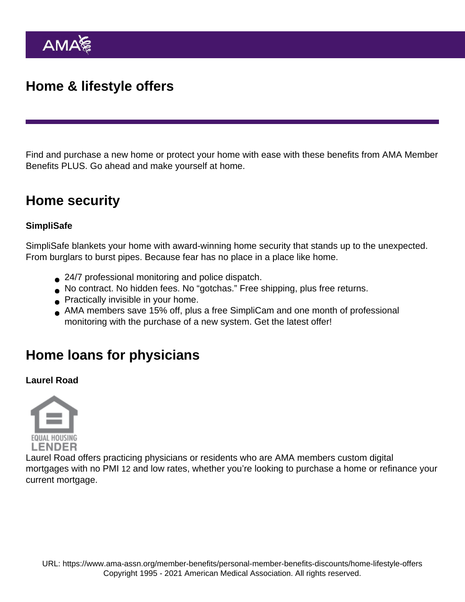# Home & lifestyle offers

Find and purchase a new home or protect your home with ease with these benefits from [AMA Member](https://www.ama-assn.org/node/24691) [Benefits PLUS](https://www.ama-assn.org/node/24691). Go ahead and make yourself at home.

### Home security

### **SimpliSafe**

[SimpliSafe](https://www.simplisafe.com/AMA19?utm_medium=partnerdigital&utm_source=AMA&utm_campaign=Site) blankets your home with award-winning home security that stands up to the unexpected. From burglars to burst pipes. Because fear has no place in a place like home.

- 24/7 professional monitoring and police dispatch.
- No contract. No hidden fees. No "gotchas." Free shipping, plus free returns.
- **Practically invisible in your home.**
- AMA members save 15% off, plus a free SimpliCam and one month of professional monitoring with the purchase of a new system. Get the [latest offer!](https://www.simplisafe.com/AMA19?utm_medium=partnerdigital&utm_source=AMA&utm_campaign=Site)

## Home loans for physicians

Laurel Road

[Laurel Road](http://www.laurelroad.com/ama) offers practicing physicians or residents who are AMA members custom digital mortgages with no PMI [12](https://www.laurelroad.com/partnerships/ama/#disclaimer) and low rates, whether you're looking to purchase a home or refinance your current mortgage.